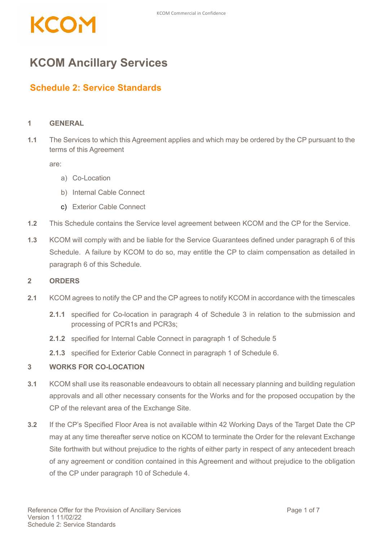# KCON

## **KCOM Ancillary Services**

### **Schedule 2: Service Standards**

#### **1 GENERAL**

**1.1** The Services to which this Agreement applies and which may be ordered by the CP pursuant to the terms of this Agreement

are:

- a) Co-Location
- b) Internal Cable Connect
- c) Exterior Cable Connect
- **1.2** This Schedule contains the Service level agreement between KCOM and the CP for the Service.
- **1.3** KCOM will comply with and be liable for the Service Guarantees defined under paragraph 6 of this Schedule. A failure by KCOM to do so, may entitle the CP to claim compensation as detailed in paragraph 6 of this Schedule.

#### **2 ORDERS**

- **2.1** KCOM agrees to notify the CP and the CP agrees to notify KCOM in accordance with the timescales
	- **2.1.1** specified for Co-location in paragraph 4 of Schedule 3 in relation to the submission and processing of PCR1s and PCR3s;
	- **2.1.2** specified for Internal Cable Connect in paragraph 1 of Schedule 5
	- **2.1.3** specified for Exterior Cable Connect in paragraph 1 of Schedule 6.

#### **3 WORKS FOR CO-LOCATION**

- **3.1** KCOM shall use its reasonable endeavours to obtain all necessary planning and building regulation approvals and all other necessary consents for the Works and for the proposed occupation by the CP of the relevant area of the Exchange Site.
- **3.2** If the CP's Specified Floor Area is not available within 42 Working Days of the Target Date the CP may at any time thereafter serve notice on KCOM to terminate the Order for the relevant Exchange Site forthwith but without prejudice to the rights of either party in respect of any antecedent breach of any agreement or condition contained in this Agreement and without prejudice to the obligation of the CP under paragraph 10 of Schedule 4.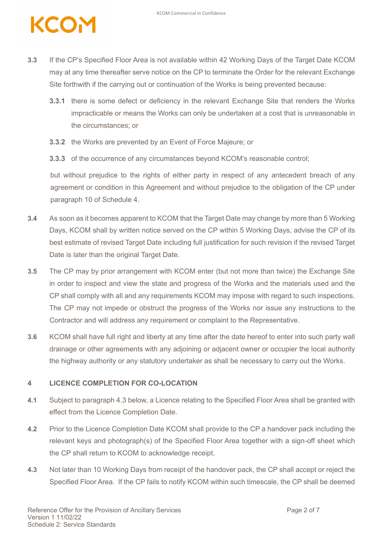- **3.3** If the CP's Specified Floor Area is not available within 42 Working Days of the Target Date KCOM may at any time thereafter serve notice on the CP to terminate the Order for the relevant Exchange Site forthwith if the carrying out or continuation of the Works is being prevented because:
	- **3.3.1** there is some defect or deficiency in the relevant Exchange Site that renders the Works impracticable or means the Works can only be undertaken at a cost that is unreasonable in the circumstances; or
	- **3.3.2** the Works are prevented by an Event of Force Majeure; or
	- **3.3.3** of the occurrence of any circumstances beyond KCOM's reasonable control;

but without prejudice to the rights of either party in respect of any antecedent breach of any agreement or condition in this Agreement and without prejudice to the obligation of the CP under paragraph 10 of Schedule 4.

- **3.4** As soon as it becomes apparent to KCOM that the Target Date may change by more than 5 Working Days, KCOM shall by written notice served on the CP within 5 Working Days, advise the CP of its best estimate of revised Target Date including full justification for such revision if the revised Target Date is later than the original Target Date.
- **3.5** The CP may by prior arrangement with KCOM enter (but not more than twice) the Exchange Site in order to inspect and view the state and progress of the Works and the materials used and the CP shall comply with all and any requirements KCOM may impose with regard to such inspections. The CP may not impede or obstruct the progress of the Works nor issue any instructions to the Contractor and will address any requirement or complaint to the Representative.
- **3.6** KCOM shall have full right and liberty at any time after the date hereof to enter into such party wall drainage or other agreements with any adjoining or adjacent owner or occupier the local authority the highway authority or any statutory undertaker as shall be necessary to carry out the Works.

#### **4 LICENCE COMPLETION FOR CO-LOCATION**

- **4.1** Subject to paragraph 4.3 below, a Licence relating to the Specified Floor Area shall be granted with effect from the Licence Completion Date.
- **4.2** Prior to the Licence Completion Date KCOM shall provide to the CP a handover pack including the relevant keys and photograph(s) of the Specified Floor Area together with a sign-off sheet which the CP shall return to KCOM to acknowledge receipt.
- **4.3** Not later than 10 Working Days from receipt of the handover pack, the CP shall accept or reject the Specified Floor Area. If the CP fails to notify KCOM within such timescale, the CP shall be deemed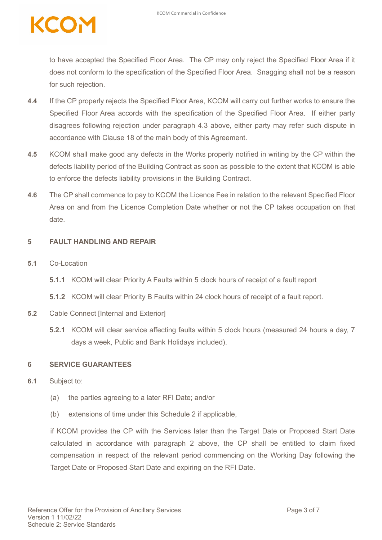to have accepted the Specified Floor Area. The CP may only reject the Specified Floor Area if it does not conform to the specification of the Specified Floor Area. Snagging shall not be a reason for such rejection.

- **4.4** If the CP properly rejects the Specified Floor Area, KCOM will carry out further works to ensure the Specified Floor Area accords with the specification of the Specified Floor Area. If either party disagrees following rejection under paragraph 4.3 above, either party may refer such dispute in accordance with Clause 18 of the main body of this Agreement.
- **4.5** KCOM shall make good any defects in the Works properly notified in writing by the CP within the defects liability period of the Building Contract as soon as possible to the extent that KCOM is able to enforce the defects liability provisions in the Building Contract.
- **4.6** The CP shall commence to pay to KCOM the Licence Fee in relation to the relevant Specified Floor Area on and from the Licence Completion Date whether or not the CP takes occupation on that date.

#### **5 FAULT HANDLING AND REPAIR**

- **5.1** Co-Location
	- **5.1.1** KCOM will clear Priority A Faults within 5 clock hours of receipt of a fault report
	- **5.1.2** KCOM will clear Priority B Faults within 24 clock hours of receipt of a fault report.
- **5.2** Cable Connect [Internal and Exterior]
	- **5.2.1** KCOM will clear service affecting faults within 5 clock hours (measured 24 hours a day, 7 days a week, Public and Bank Holidays included).

#### **6 SERVICE GUARANTEES**

- **6.1** Subject to:
	- (a) the parties agreeing to a later RFI Date; and/or
	- (b) extensions of time under this Schedule 2 if applicable,

if KCOM provides the CP with the Services later than the Target Date or Proposed Start Date calculated in accordance with paragraph 2 above, the CP shall be entitled to claim fixed compensation in respect of the relevant period commencing on the Working Day following the Target Date or Proposed Start Date and expiring on the RFI Date.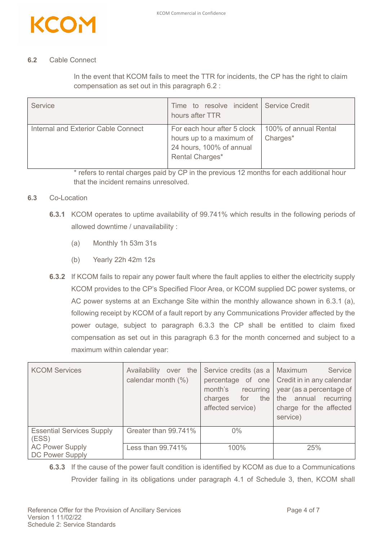

#### **6.2** Cable Connect

In the event that KCOM fails to meet the TTR for incidents, the CP has the right to claim compensation as set out in this paragraph 6.2 :

| Service                             | Time to resolve incident Service Credit<br>hours after TTR                                               |                                   |
|-------------------------------------|----------------------------------------------------------------------------------------------------------|-----------------------------------|
| Internal and Exterior Cable Connect | For each hour after 5 clock  <br>hours up to a maximum of<br>24 hours, 100% of annual<br>Rental Charges* | 100% of annual Rental<br>Charges* |

\* refers to rental charges paid by CP in the previous 12 months for each additional hour that the incident remains unresolved.

#### **6.3** Co-Location

- **6.3.1** KCOM operates to uptime availability of 99.741% which results in the following periods of allowed downtime / unavailability :
	- (a) Monthly 1h 53m 31s
	- (b) Yearly 22h 42m 12s
- **6.3.2** If KCOM fails to repair any power fault where the fault applies to either the electricity supply KCOM provides to the CP's Specified Floor Area, or KCOM supplied DC power systems, or AC power systems at an Exchange Site within the monthly allowance shown in 6.3.1 (a), following receipt by KCOM of a fault report by any Communications Provider affected by the power outage, subject to paragraph 6.3.3 the CP shall be entitled to claim fixed compensation as set out in this paragraph 6.3 for the month concerned and subject to a maximum within calendar year:

| <b>KCOM Services</b>                      | Availability over the<br>calendar month (%) | Service credits (as a   Maximum<br>month's<br>recurring<br>the<br>charges<br>for<br>affected service) | Service<br>percentage of one Credit in in any calendar<br>year (as a percentage of<br>the annual recurring<br>charge for the affected<br>service) |
|-------------------------------------------|---------------------------------------------|-------------------------------------------------------------------------------------------------------|---------------------------------------------------------------------------------------------------------------------------------------------------|
| <b>Essential Services Supply</b><br>(ESS) | Greater than 99.741%                        | $0\%$                                                                                                 |                                                                                                                                                   |
| <b>AC Power Supply</b><br>DC Power Supply | Less than 99.741%                           | 100%                                                                                                  | 25%                                                                                                                                               |

**6.3.3** If the cause of the power fault condition is identified by KCOM as due to a Communications Provider failing in its obligations under paragraph 4.1 of Schedule 3, then, KCOM shall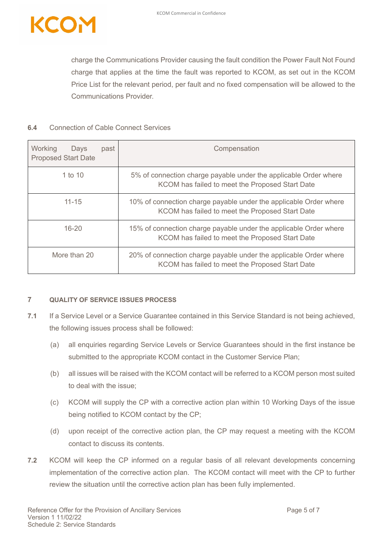

charge the Communications Provider causing the fault condition the Power Fault Not Found charge that applies at the time the fault was reported to KCOM, as set out in the KCOM Price List for the relevant period, per fault and no fixed compensation will be allowed to the Communications Provider.

#### **6.4** Connection of Cable Connect Services

| Working<br>Days<br>past<br><b>Proposed Start Date</b> | Compensation                                                                                                         |
|-------------------------------------------------------|----------------------------------------------------------------------------------------------------------------------|
| 1 to 10                                               | 5% of connection charge payable under the applicable Order where<br>KCOM has failed to meet the Proposed Start Date  |
| $11 - 15$                                             | 10% of connection charge payable under the applicable Order where<br>KCOM has failed to meet the Proposed Start Date |
| $16 - 20$                                             | 15% of connection charge payable under the applicable Order where<br>KCOM has failed to meet the Proposed Start Date |
| More than 20                                          | 20% of connection charge payable under the applicable Order where<br>KCOM has failed to meet the Proposed Start Date |

#### **7 QUALITY OF SERVICE ISSUES PROCESS**

- **7.1** If a Service Level or a Service Guarantee contained in this Service Standard is not being achieved, the following issues process shall be followed:
	- (a) all enquiries regarding Service Levels or Service Guarantees should in the first instance be submitted to the appropriate KCOM contact in the Customer Service Plan;
	- (b) all issues will be raised with the KCOM contact will be referred to a KCOM person most suited to deal with the issue;
	- (c) KCOM will supply the CP with a corrective action plan within 10 Working Days of the issue being notified to KCOM contact by the CP;
	- (d) upon receipt of the corrective action plan, the CP may request a meeting with the KCOM contact to discuss its contents.
- **7.2** KCOM will keep the CP informed on a regular basis of all relevant developments concerning implementation of the corrective action plan. The KCOM contact will meet with the CP to further review the situation until the corrective action plan has been fully implemented.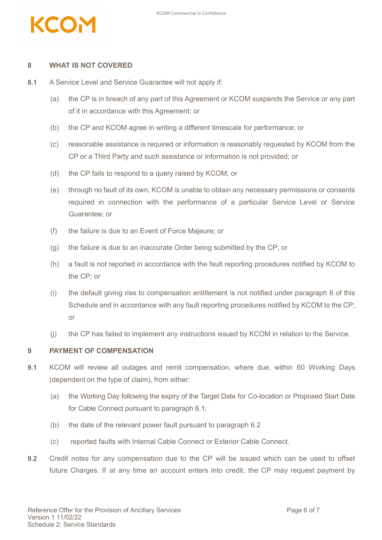

#### **8 WHAT IS NOT COVERED**

- **8.1** A Service Level and Service Guarantee will not apply if:
	- (a) the CP is in breach of any part of this Agreement or KCOM suspends the Service or any part of it in accordance with this Agreement; or
	- (b) the CP and KCOM agree in writing a different timescale for performance; or
	- (c) reasonable assistance is required or information is reasonably requested by KCOM from the CP or a Third Party and such assistance or information is not provided; or
	- (d) the CP fails to respond to a query raised by KCOM; or
	- (e) through no fault of its own, KCOM is unable to obtain any necessary permissions or consents required in connection with the performance of a particular Service Level or Service Guarantee; or
	- (f) the failure is due to an Event of Force Majeure; or
	- (g) the failure is due to an inaccurate Order being submitted by the CP; or
	- (h) a fault is not reported in accordance with the fault reporting procedures notified by KCOM to the CP; or
	- (i) the default giving rise to compensation entitlement is not notified under paragraph 6 of this Schedule and in accordance with any fault reporting procedures notified by KCOM to the CP; or
	- (j) the CP has failed to implement any instructions issued by KCOM in relation to the Service.

### **9 PAYMENT OF COMPENSATION**

- **9.1** KCOM will review all outages and remit compensation, where due, within 60 Working Days (dependent on the type of claim), from either:
	- (a) the Working Day following the expiry of the Target Date for Co-location or Proposed Start Date for Cable Connect pursuant to paragraph 6.1;
	- (b) the date of the relevant power fault pursuant to paragraph 6.2
	- (c) reported faults with Internal Cable Connect or Exterior Cable Connect.
- **9.2** Credit notes for any compensation due to the CP will be issued which can be used to offset future Charges. If at any time an account enters into credit, the CP may request payment by